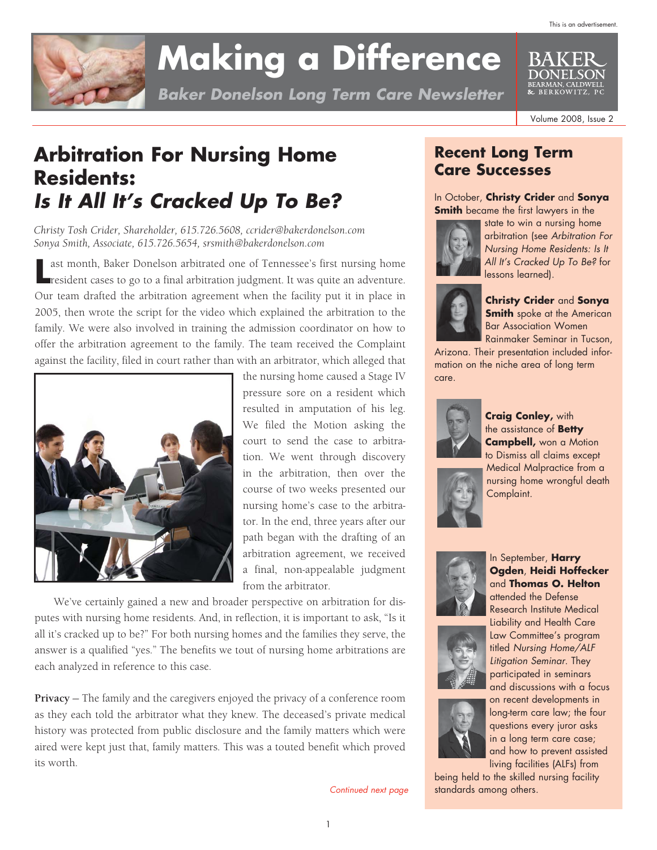

# **Making a Difference**

*Baker Donelson Long Term Care Newsletter*

Volume 2008, Issue 2

DONEL SON ARMAN, CALDWEL<mark>l</mark><br>BER KOW ITZ. PO

## **Arbitration For Nursing Home Residents:**  *Is It All It's Cracked Up To Be?*

*Christy Tosh Crider, Shareholder, 615.726.5608, ccrider@bakerdonelson.com Sonya Smith, Associate, 615.726.5654, srsmith@bakerdonelson.com*

**L** ast month, Baker Donelson arbitrated one of Tennessee's first nursing home resident cases to go to a final arbitration judgment. It was quite an adventure. ast month, Baker Donelson arbitrated one of Tennessee's first nursing home Our team drafted the arbitration agreement when the facility put it in place in 2005, then wrote the script for the video which explained the arbitration to the family. We were also involved in training the admission coordinator on how to offer the arbitration agreement to the family. The team received the Complaint against the facility, filed in court rather than with an arbitrator, which alleged that



the nursing home caused a Stage IV pressure sore on a resident which resulted in amputation of his leg. We filed the Motion asking the court to send the case to arbitration. We went through discovery in the arbitration, then over the course of two weeks presented our nursing home's case to the arbitrator. In the end, three years after our path began with the drafting of an arbitration agreement, we received a final, non-appealable judgment from the arbitrator.

 We've certainly gained a new and broader perspective on arbitration for disputes with nursing home residents. And, in reflection, it is important to ask, "Is it all it's cracked up to be?" For both nursing homes and the families they serve, the answer is a qualified "yes." The benefits we tout of nursing home arbitrations are each analyzed in reference to this case.

**Privacy** — The family and the caregivers enjoyed the privacy of a conference room as they each told the arbitrator what they knew. The deceased's private medical history was protected from public disclosure and the family matters which were aired were kept just that, family matters. This was a touted benefit which proved its worth.

*Continued next page*

### **Recent Long Term Care Successes**

In October, **Christy Crider** and **Sonya Smith** became the first lawyers in the



state to win a nursing home arbitration (see *Arbitration For Nursing Home Residents: Is It All It's Cracked Up To Be?* for lessons learned).



#### **Christy Crider** and **Sonya Smith** spoke at the American Bar Association Women Rainmaker Seminar in Tucson,

Arizona. Their presentation included information on the niche area of long term care.

Complaint.



#### **Craig Conley,** with the assistance of **Betty**

**Campbell,** won a Motion to Dismiss all claims except Medical Malpractice from a

nursing home wrongful death





attended the Defense Research Institute Medical Liability and Health Care Law Committee's program titled *Nursing Home/ALF Litigation Seminar*. They participated in seminars and discussions with a focus



on recent developments in long-term care law; the four questions every juror asks in a long term care case; and how to prevent assisted living facilities (ALFs) from

being held to the skilled nursing facility standards among others.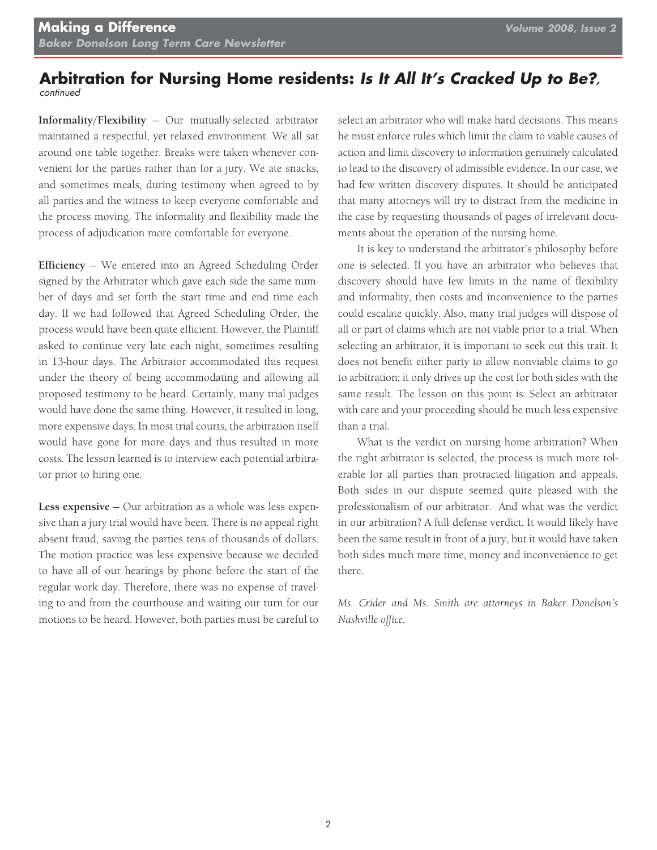#### **Arbitration for Nursing Home residents:** *Is It All It's Cracked Up to Be?, continued*

**Informality/Flexibility** — Our mutually-selected arbitrator maintained a respectful, yet relaxed environment. We all sat around one table together. Breaks were taken whenever convenient for the parties rather than for a jury. We ate snacks, and sometimes meals, during testimony when agreed to by all parties and the witness to keep everyone comfortable and the process moving. The informality and flexibility made the process of adjudication more comfortable for everyone.

**Efficiency** — We entered into an Agreed Scheduling Order signed by the Arbitrator which gave each side the same number of days and set forth the start time and end time each day. If we had followed that Agreed Scheduling Order, the process would have been quite efficient. However, the Plaintiff asked to continue very late each night, sometimes resulting in 13-hour days. The Arbitrator accommodated this request under the theory of being accommodating and allowing all proposed testimony to be heard. Certainly, many trial judges would have done the same thing. However, it resulted in long, more expensive days. In most trial courts, the arbitration itself would have gone for more days and thus resulted in more costs. The lesson learned is to interview each potential arbitrator prior to hiring one.

**Less expensive** — Our arbitration as a whole was less expensive than a jury trial would have been. There is no appeal right absent fraud, saving the parties tens of thousands of dollars. The motion practice was less expensive because we decided to have all of our hearings by phone before the start of the regular work day. Therefore, there was no expense of traveling to and from the courthouse and waiting our turn for our motions to be heard. However, both parties must be careful to select an arbitrator who will make hard decisions. This means he must enforce rules which limit the claim to viable causes of action and limit discovery to information genuinely calculated to lead to the discovery of admissible evidence. In our case, we had few written discovery disputes. It should be anticipated that many attorneys will try to distract from the medicine in the case by requesting thousands of pages of irrelevant documents about the operation of the nursing home.

 It is key to understand the arbitrator's philosophy before one is selected. If you have an arbitrator who believes that discovery should have few limits in the name of flexibility and informality, then costs and inconvenience to the parties could escalate quickly. Also, many trial judges will dispose of all or part of claims which are not viable prior to a trial. When selecting an arbitrator, it is important to seek out this trait. It does not benefit either party to allow nonviable claims to go to arbitration; it only drives up the cost for both sides with the same result. The lesson on this point is: Select an arbitrator with care and your proceeding should be much less expensive than a trial.

 What is the verdict on nursing home arbitration? When the right arbitrator is selected, the process is much more tolerable for all parties than protracted litigation and appeals. Both sides in our dispute seemed quite pleased with the professionalism of our arbitrator. And what was the verdict in our arbitration? A full defense verdict. It would likely have been the same result in front of a jury, but it would have taken both sides much more time, money and inconvenience to get there.

*Ms. Crider and Ms. Smith are attorneys in Baker Donelson's Nashville office.*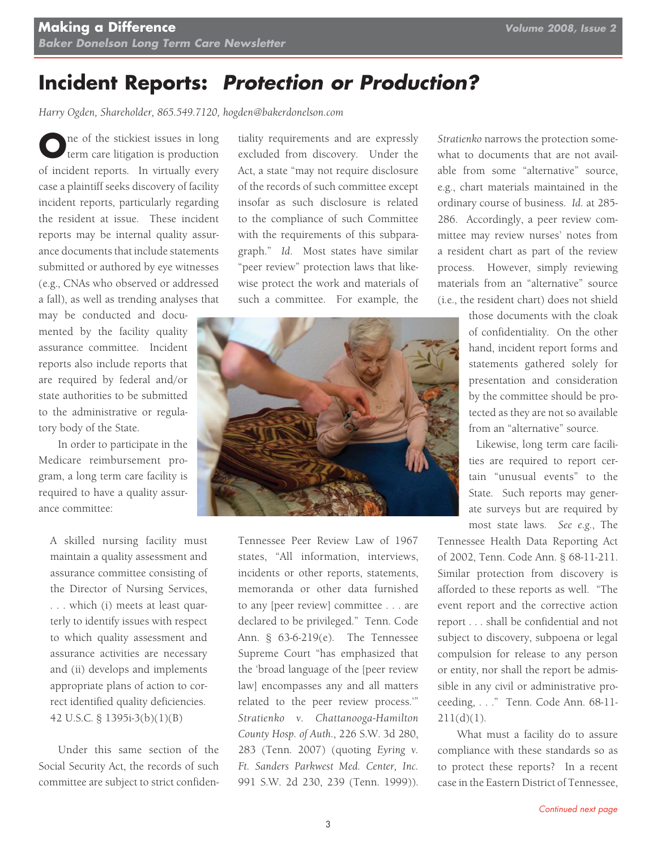## **Incident Reports:** *Protection or Production?*

*Harry Ogden, Shareholder, 865.549.7120, hogden@bakerdonelson.com*

**O**ne of the stickiest issues in long<br>term care litigation is production of incident reports. In virtually every case a plaintiff seeks discovery of facility incident reports, particularly regarding the resident at issue. These incident reports may be internal quality assurance documents that include statements submitted or authored by eye witnesses (e.g., CNAs who observed or addressed a fall), as well as trending analyses that

may be conducted and documented by the facility quality assurance committee. Incident reports also include reports that are required by federal and/or state authorities to be submitted to the administrative or regulatory body of the State.

 In order to participate in the Medicare reimbursement program, a long term care facility is required to have a quality assurance committee:

A skilled nursing facility must maintain a quality assessment and assurance committee consisting of the Director of Nursing Services, . . . which (i) meets at least quarterly to identify issues with respect to which quality assessment and assurance activities are necessary and (ii) develops and implements appropriate plans of action to correct identified quality deficiencies. 42 U.S.C. § 1395i-3(b)(1)(B)

 Under this same section of the Social Security Act, the records of such committee are subject to strict confiden-

tiality requirements and are expressly excluded from discovery. Under the Act, a state "may not require disclosure of the records of such committee except insofar as such disclosure is related to the compliance of such Committee with the requirements of this subparagraph." *Id.* Most states have similar "peer review" protection laws that likewise protect the work and materials of such a committee. For example, the



Tennessee Peer Review Law of 1967 states, "All information, interviews, incidents or other reports, statements, memoranda or other data furnished to any [peer review] committee . . . are declared to be privileged." Tenn. Code Ann. § 63-6-219(e). The Tennessee Supreme Court "has emphasized that the 'broad language of the [peer review law] encompasses any and all matters related to the peer review process.'" *Stratienko v. Chattanooga-Hamilton County Hosp. of Auth.*, 226 S.W. 3d 280, 283 (Tenn. 2007) (quoting *Eyring v. Ft. Sanders Parkwest Med. Center, Inc.* 991 S.W. 2d 230, 239 (Tenn. 1999)). *Stratienko* narrows the protection somewhat to documents that are not available from some "alternative" source, e.g., chart materials maintained in the ordinary course of business. *Id.* at 285- 286. Accordingly, a peer review committee may review nurses' notes from a resident chart as part of the review process. However, simply reviewing materials from an "alternative" source (i.e., the resident chart) does not shield

> those documents with the cloak of confidentiality. On the other hand, incident report forms and statements gathered solely for presentation and consideration by the committee should be protected as they are not so available from an "alternative" source.

> Likewise, long term care facilities are required to report certain "unusual events" to the State. Such reports may generate surveys but are required by most state laws. *See e.g.*, The

Tennessee Health Data Reporting Act of 2002, Tenn. Code Ann. § 68-11-211. Similar protection from discovery is afforded to these reports as well. "The event report and the corrective action report . . . shall be confidential and not subject to discovery, subpoena or legal compulsion for release to any person or entity, nor shall the report be admissible in any civil or administrative proceeding, . . ." Tenn. Code Ann. 68-11-  $211(d)(1)$ .

 What must a facility do to assure compliance with these standards so as to protect these reports? In a recent case in the Eastern District of Tennessee,